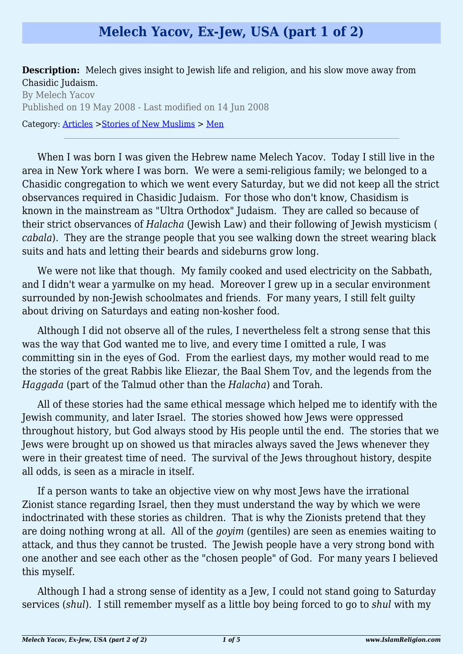## **Melech Yacov, Ex-Jew, USA (part 1 of 2)**

**Description:** Melech gives insight to Jewish life and religion, and his slow move away from Chasidic Judaism.

By Melech Yacov Published on 19 May 2008 - Last modified on 14 Jun 2008 Category: [Articles](http://www.islamreligion.com/articles/) >[Stories of New Muslims](http://www.islamreligion.com/category/63/) > [Men](http://www.islamreligion.com/category/64/)

When I was born I was given the Hebrew name Melech Yacov. Today I still live in the area in New York where I was born. We were a semi-religious family; we belonged to a Chasidic congregation to which we went every Saturday, but we did not keep all the strict observances required in Chasidic Judaism. For those who don't know, Chasidism is known in the mainstream as "Ultra Orthodox" Judaism. They are called so because of their strict observances of *Halacha* (Jewish Law) and their following of Jewish mysticism ( *cabala*). They are the strange people that you see walking down the street wearing black suits and hats and letting their beards and sideburns grow long.

We were not like that though. My family cooked and used electricity on the Sabbath, and I didn't wear a varmulke on my head. Moreover I grew up in a secular environment surrounded by non-Jewish schoolmates and friends. For many years, I still felt guilty about driving on Saturdays and eating non-kosher food.

Although I did not observe all of the rules, I nevertheless felt a strong sense that this was the way that God wanted me to live, and every time I omitted a rule, I was committing sin in the eyes of God. From the earliest days, my mother would read to me the stories of the great Rabbis like Eliezar, the Baal Shem Tov, and the legends from the *Haggada* (part of the Talmud other than the *Halacha*) and Torah.

All of these stories had the same ethical message which helped me to identify with the Jewish community, and later Israel. The stories showed how Jews were oppressed throughout history, but God always stood by His people until the end. The stories that we Jews were brought up on showed us that miracles always saved the Jews whenever they were in their greatest time of need. The survival of the Jews throughout history, despite all odds, is seen as a miracle in itself.

If a person wants to take an objective view on why most Jews have the irrational Zionist stance regarding Israel, then they must understand the way by which we were indoctrinated with these stories as children. That is why the Zionists pretend that they are doing nothing wrong at all. All of the *goyim* (gentiles) are seen as enemies waiting to attack, and thus they cannot be trusted. The Jewish people have a very strong bond with one another and see each other as the "chosen people" of God. For many years I believed this myself.

Although I had a strong sense of identity as a Jew, I could not stand going to Saturday services (*shul*). I still remember myself as a little boy being forced to go to *shul* with my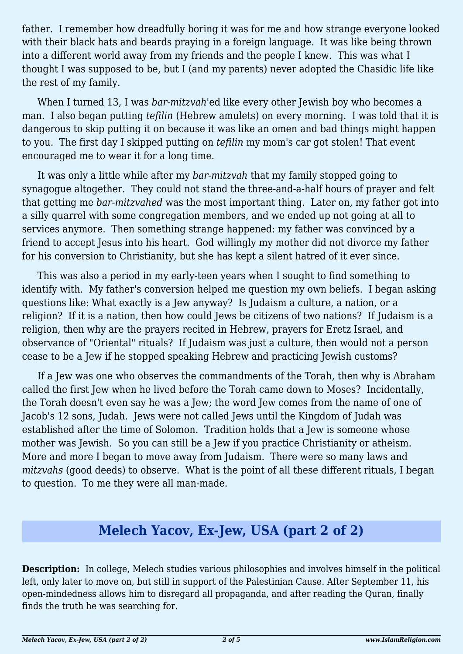father. I remember how dreadfully boring it was for me and how strange everyone looked with their black hats and beards praying in a foreign language. It was like being thrown into a different world away from my friends and the people I knew. This was what I thought I was supposed to be, but I (and my parents) never adopted the Chasidic life like the rest of my family.

When I turned 13, I was *bar-mitzvah*'ed like every other Jewish boy who becomes a man. I also began putting *tefilin* (Hebrew amulets) on every morning. I was told that it is dangerous to skip putting it on because it was like an omen and bad things might happen to you. The first day I skipped putting on *tefilin* my mom's car got stolen! That event encouraged me to wear it for a long time.

It was only a little while after my *bar-mitzvah* that my family stopped going to synagogue altogether. They could not stand the three-and-a-half hours of prayer and felt that getting me *bar-mitzvahed* was the most important thing. Later on, my father got into a silly quarrel with some congregation members, and we ended up not going at all to services anymore. Then something strange happened: my father was convinced by a friend to accept Jesus into his heart. God willingly my mother did not divorce my father for his conversion to Christianity, but she has kept a silent hatred of it ever since.

This was also a period in my early-teen years when I sought to find something to identify with. My father's conversion helped me question my own beliefs. I began asking questions like: What exactly is a Jew anyway? Is Judaism a culture, a nation, or a religion? If it is a nation, then how could Jews be citizens of two nations? If Judaism is a religion, then why are the prayers recited in Hebrew, prayers for Eretz Israel, and observance of "Oriental" rituals? If Judaism was just a culture, then would not a person cease to be a Jew if he stopped speaking Hebrew and practicing Jewish customs?

If a Jew was one who observes the commandments of the Torah, then why is Abraham called the first Jew when he lived before the Torah came down to Moses? Incidentally, the Torah doesn't even say he was a Jew; the word Jew comes from the name of one of Jacob's 12 sons, Judah. Jews were not called Jews until the Kingdom of Judah was established after the time of Solomon. Tradition holds that a Jew is someone whose mother was Jewish. So you can still be a Jew if you practice Christianity or atheism. More and more I began to move away from Judaism. There were so many laws and *mitzvahs* (good deeds) to observe. What is the point of all these different rituals, I began to question. To me they were all man-made.

## **Melech Yacov, Ex-Jew, USA (part 2 of 2)**

**Description:** In college, Melech studies various philosophies and involves himself in the political left, only later to move on, but still in support of the Palestinian Cause. After September 11, his open-mindedness allows him to disregard all propaganda, and after reading the Quran, finally finds the truth he was searching for.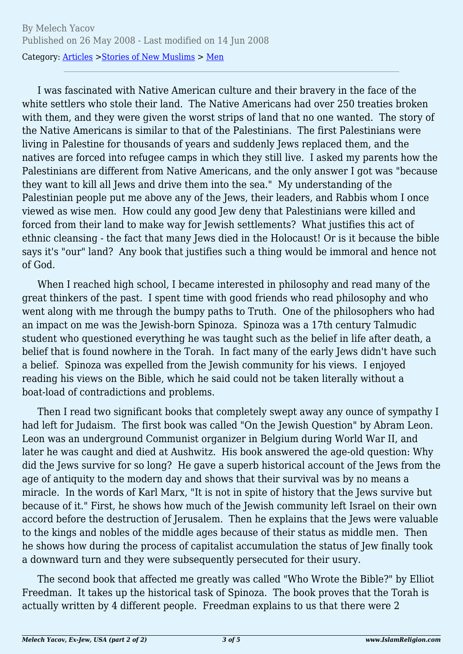I was fascinated with Native American culture and their bravery in the face of the white settlers who stole their land. The Native Americans had over 250 treaties broken with them, and they were given the worst strips of land that no one wanted. The story of the Native Americans is similar to that of the Palestinians. The first Palestinians were living in Palestine for thousands of years and suddenly Jews replaced them, and the natives are forced into refugee camps in which they still live. I asked my parents how the Palestinians are different from Native Americans, and the only answer I got was "because they want to kill all Jews and drive them into the sea." My understanding of the Palestinian people put me above any of the Jews, their leaders, and Rabbis whom I once viewed as wise men. How could any good Jew deny that Palestinians were killed and forced from their land to make way for Jewish settlements? What justifies this act of ethnic cleansing - the fact that many Jews died in the Holocaust! Or is it because the bible says it's "our" land? Any book that justifies such a thing would be immoral and hence not of God.

When I reached high school, I became interested in philosophy and read many of the great thinkers of the past. I spent time with good friends who read philosophy and who went along with me through the bumpy paths to Truth. One of the philosophers who had an impact on me was the Jewish-born Spinoza. Spinoza was a 17th century Talmudic student who questioned everything he was taught such as the belief in life after death, a belief that is found nowhere in the Torah. In fact many of the early Jews didn't have such a belief. Spinoza was expelled from the Jewish community for his views. I enjoyed reading his views on the Bible, which he said could not be taken literally without a boat-load of contradictions and problems.

Then I read two significant books that completely swept away any ounce of sympathy I had left for Judaism. The first book was called "On the Jewish Question" by Abram Leon. Leon was an underground Communist organizer in Belgium during World War II, and later he was caught and died at Aushwitz. His book answered the age-old question: Why did the Jews survive for so long? He gave a superb historical account of the Jews from the age of antiquity to the modern day and shows that their survival was by no means a miracle. In the words of Karl Marx, "It is not in spite of history that the Jews survive but because of it." First, he shows how much of the Jewish community left Israel on their own accord before the destruction of Jerusalem. Then he explains that the Jews were valuable to the kings and nobles of the middle ages because of their status as middle men. Then he shows how during the process of capitalist accumulation the status of Jew finally took a downward turn and they were subsequently persecuted for their usury.

The second book that affected me greatly was called "Who Wrote the Bible?" by Elliot Freedman. It takes up the historical task of Spinoza. The book proves that the Torah is actually written by 4 different people. Freedman explains to us that there were 2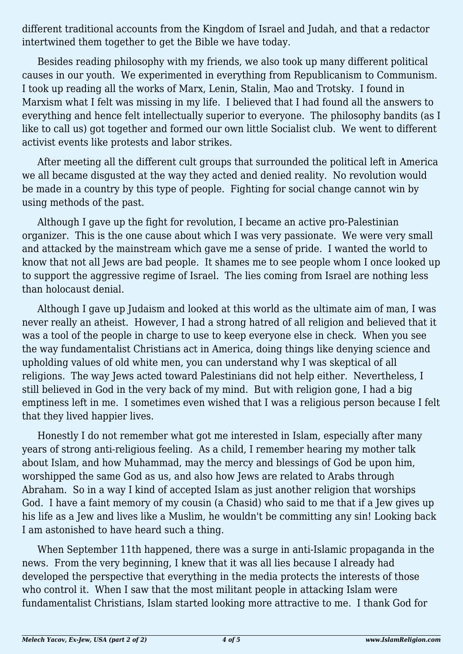different traditional accounts from the Kingdom of Israel and Judah, and that a redactor intertwined them together to get the Bible we have today.

Besides reading philosophy with my friends, we also took up many different political causes in our youth. We experimented in everything from Republicanism to Communism. I took up reading all the works of Marx, Lenin, Stalin, Mao and Trotsky. I found in Marxism what I felt was missing in my life. I believed that I had found all the answers to everything and hence felt intellectually superior to everyone. The philosophy bandits (as I like to call us) got together and formed our own little Socialist club. We went to different activist events like protests and labor strikes.

After meeting all the different cult groups that surrounded the political left in America we all became disgusted at the way they acted and denied reality. No revolution would be made in a country by this type of people. Fighting for social change cannot win by using methods of the past.

Although I gave up the fight for revolution, I became an active pro-Palestinian organizer. This is the one cause about which I was very passionate. We were very small and attacked by the mainstream which gave me a sense of pride. I wanted the world to know that not all Jews are bad people. It shames me to see people whom I once looked up to support the aggressive regime of Israel. The lies coming from Israel are nothing less than holocaust denial.

Although I gave up Judaism and looked at this world as the ultimate aim of man, I was never really an atheist. However, I had a strong hatred of all religion and believed that it was a tool of the people in charge to use to keep everyone else in check. When you see the way fundamentalist Christians act in America, doing things like denying science and upholding values of old white men, you can understand why I was skeptical of all religions. The way Jews acted toward Palestinians did not help either. Nevertheless, I still believed in God in the very back of my mind. But with religion gone, I had a big emptiness left in me. I sometimes even wished that I was a religious person because I felt that they lived happier lives.

Honestly I do not remember what got me interested in Islam, especially after many years of strong anti-religious feeling. As a child, I remember hearing my mother talk about Islam, and how Muhammad, may the mercy and blessings of God be upon him, worshipped the same God as us, and also how Jews are related to Arabs through Abraham. So in a way I kind of accepted Islam as just another religion that worships God. I have a faint memory of my cousin (a Chasid) who said to me that if a Jew gives up his life as a Jew and lives like a Muslim, he wouldn't be committing any sin! Looking back I am astonished to have heard such a thing.

When September 11th happened, there was a surge in anti-Islamic propaganda in the news. From the very beginning, I knew that it was all lies because I already had developed the perspective that everything in the media protects the interests of those who control it. When I saw that the most militant people in attacking Islam were fundamentalist Christians, Islam started looking more attractive to me. I thank God for